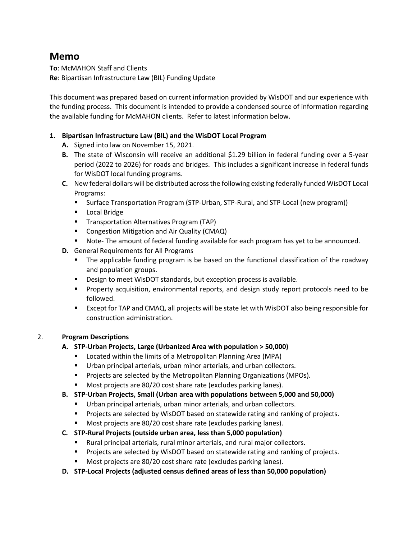# **Memo**

**To**: McMAHON Staff and Clients **Re**: Bipartisan Infrastructure Law (BIL) Funding Update

This document was prepared based on current information provided by WisDOT and our experience with the funding process. This document is intended to provide a condensed source of information regarding the available funding for McMAHON clients. Refer to latest information below.

## **1. Bipartisan Infrastructure Law (BIL) and the WisDOT Local Program**

- **A.** Signed into law on November 15, 2021.
- **B.** The state of Wisconsin will receive an additional \$1.29 billion in federal funding over a 5-year period (2022 to 2026) for roads and bridges. This includes a significant increase in federal funds for WisDOT local funding programs.
- **C.** New federal dollars will be distributed across the following existing federally funded WisDOT Local Programs:
	- § Surface Transportation Program (STP-Urban, STP-Rural, and STP-Local (new program))
	- Local Bridge
	- Transportation Alternatives Program (TAP)
	- Congestion Mitigation and Air Quality (CMAQ)
	- Note- The amount of federal funding available for each program has yet to be announced.
- **D.** General Requirements for All Programs
	- The applicable funding program is be based on the functional classification of the roadway and population groups.
	- Design to meet WisDOT standards, but exception process is available.
	- § Property acquisition, environmental reports, and design study report protocols need to be followed.
	- Except for TAP and CMAQ, all projects will be state let with WisDOT also being responsible for construction administration.

## 2. **Program Descriptions**

# **A. STP-Urban Projects, Large (Urbanized Area with population > 50,000)**

- Located within the limits of a Metropolitan Planning Area (MPA)
- Urban principal arterials, urban minor arterials, and urban collectors.
- Projects are selected by the Metropolitan Planning Organizations (MPOs).
- Most projects are 80/20 cost share rate (excludes parking lanes).
- **B. STP-Urban Projects, Small (Urban area with populations between 5,000 and 50,000)**
	- Urban principal arterials, urban minor arterials, and urban collectors.
	- Projects are selected by WisDOT based on statewide rating and ranking of projects.
	- Most projects are 80/20 cost share rate (excludes parking lanes).
- **C. STP-Rural Projects (outside urban area, less than 5,000 population)**
	- Rural principal arterials, rural minor arterials, and rural major collectors.
	- § Projects are selected by WisDOT based on statewide rating and ranking of projects.
	- Most projects are 80/20 cost share rate (excludes parking lanes).
- **D. STP-Local Projects (adjusted census defined areas of less than 50,000 population)**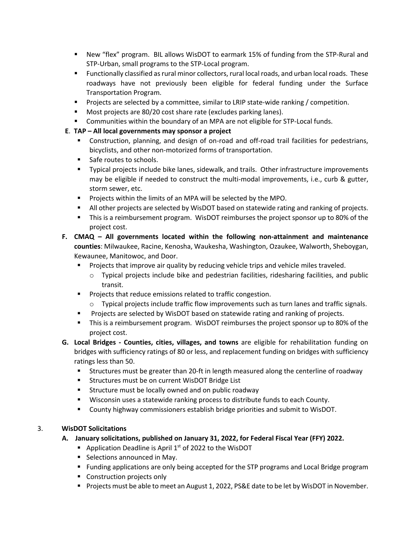- § New "flex" program. BIL allows WisDOT to earmark 15% of funding from the STP-Rural and STP-Urban, small programs to the STP-Local program.
- § Functionally classified as rural minor collectors, rural local roads, and urban local roads. These roadways have not previously been eligible for federal funding under the Surface Transportation Program.
- § Projects are selected by a committee, similar to LRIP state-wide ranking / competition.
- Most projects are 80/20 cost share rate (excludes parking lanes).
- § Communities within the boundary of an MPA are not eligible for STP-Local funds.

## **E**. **TAP – All local governments may sponsor a project**

- Construction, planning, and design of on-road and off-road trail facilities for pedestrians, bicyclists, and other non-motorized forms of transportation.
- Safe routes to schools.
- § Typical projects include bike lanes, sidewalk, and trails. Other infrastructure improvements may be eligible if needed to construct the multi-modal improvements, i.e., curb & gutter, storm sewer, etc.
- Projects within the limits of an MPA will be selected by the MPO.
- **All other projects are selected by WisDOT based on statewide rating and ranking of projects.**
- § This is a reimbursement program. WisDOT reimburses the project sponsor up to 80% of the project cost.
- **F. CMAQ – All governments located within the following non-attainment and maintenance counties**: Milwaukee, Racine, Kenosha, Waukesha, Washington, Ozaukee, Walworth, Sheboygan, Kewaunee, Manitowoc, and Door.
	- Projects that improve air quality by reducing vehicle trips and vehicle miles traveled.
		- o Typical projects include bike and pedestrian facilities, ridesharing facilities, and public transit.
	- Projects that reduce emissions related to traffic congestion.
		- $\circ$  Typical projects include traffic flow improvements such as turn lanes and traffic signals.
	- Projects are selected by WisDOT based on statewide rating and ranking of projects.
	- This is a reimbursement program. WisDOT reimburses the project sponsor up to 80% of the project cost.
- **G. Local Bridges - Counties, cities, villages, and towns** are eligible for rehabilitation funding on bridges with sufficiency ratings of 80 or less, and replacement funding on bridges with sufficiency ratings less than 50.
	- § Structures must be greater than 20-ft in length measured along the centerline of roadway
	- Structures must be on current WisDOT Bridge List
	- Structure must be locally owned and on public roadway
	- Wisconsin uses a statewide ranking process to distribute funds to each County.
	- § County highway commissioners establish bridge priorities and submit to WisDOT.

## 3. **WisDOT Solicitations**

- **A. January solicitations, published on January 31, 2022, for Federal Fiscal Year (FFY) 2022.**
	- **•** Application Deadline is April  $1<sup>st</sup>$  of 2022 to the WisDOT
	- Selections announced in May.
	- Funding applications are only being accepted for the STP programs and Local Bridge program
	- Construction projects only
	- Projects must be able to meet an August 1, 2022, PS&E date to be let by WisDOT in November.